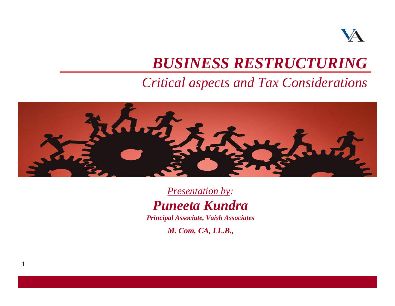

## *BUSINESS RESTRUCTURING*

### *Critical aspects and Tax Considerations*



*Presentation by: Puneeta Kundra*

*Principal Associate, Vaish Associates*

*M. Com, CA, LL.B.,* 

1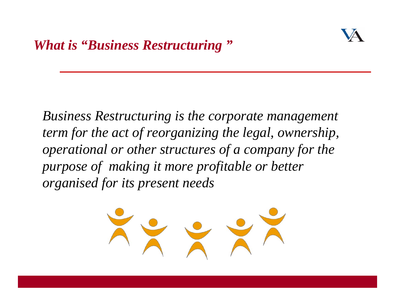

*Business Restructuring is the corporate management term for the act of reorganizing the legal, ownership, operational or other structures of a company for the purpose of making it more profitable or better organised for its present needs*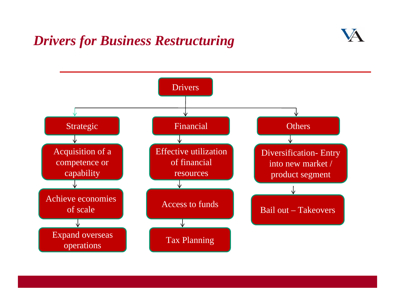### *Drivers for Business Restructuring*

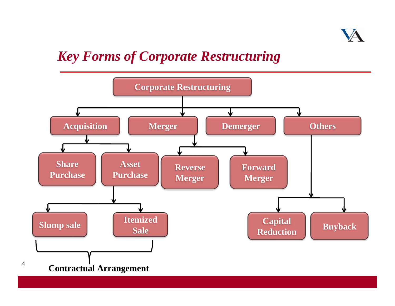

### *Key Forms of Corporate Restructuring*

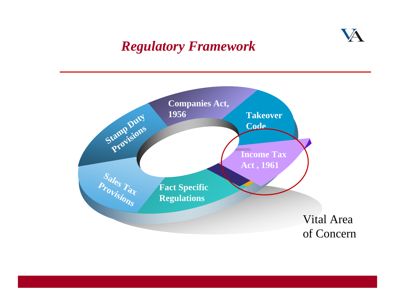### *Regulatory Framework*



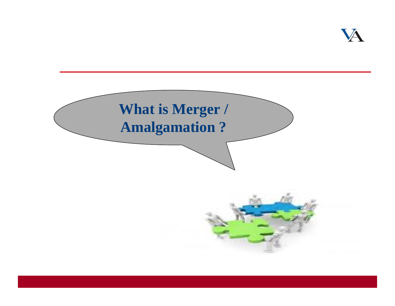

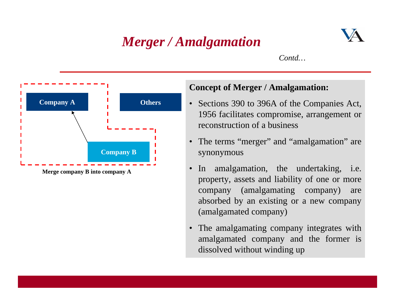## *Merger / Amalgamation*



*Contd…*



### **Concept of Merger / Amalgamation:**

- Sections 390 to 396A of the Companies Act, 1956 facilitates compromise, arrangement or reconstruction of a business
- •The terms "merger" and "amalgamation" are synonymous
- • In amalgamation, the undertaking, i.e. property, assets and liability of one or more company (amalgamating company) are absorbed by an existing or a new company (amalgamated company)
- • The amalgamating company integrates with amalgamated company and the former is dissolved without winding up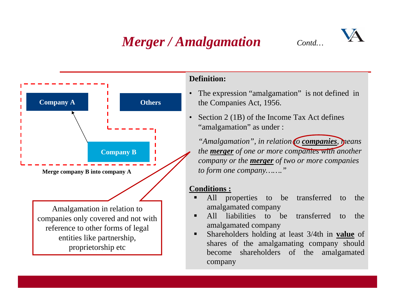## *Merger / Amalgamation Contd…*



### **Definition:**

- • The expression "amalgamation" is not defined in the Companies Act, 1956.
- • Section 2 (1B) of the Income Tax Act defines "amalgamation" as under :

*"Amalgamation", in relation to companies, means the merger of one or more companies with another company or the merger of two or more companies to form one company……."*

### **Conditions :**

- ĸ All properties to be transferred to the amalgamated company
- ▙ All liabilities to be transferred to the amalgamated company
- Shareholders holding at least 3/4th in **value** of shares of the amalgamating company should become shareholders of the amalgamated company

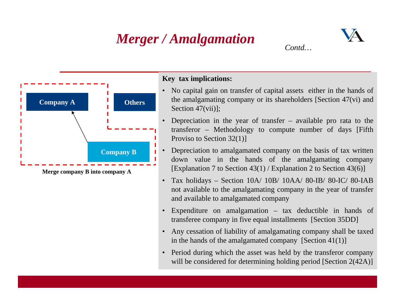## *Merger / Amalgamation*

•

•



**Merge company B into company A**

- No capital gain on transfer of capital assets either in the hands of the amalgamating company or its shareholders [Section 47(vi) and Section 47(vii)];
- Depreciation in the year of transfer available pro rata to the transferor – Methodology to compute number of days [Fifth Proviso to Section 32(1)]
- Depreciation to amalgamated company on the basis of tax written down value in the hands of the amalgamating company [Explanation 7 to Section 43(1) / Explanation 2 to Section 43(6)]
- Tax holidays Section 10A/ 10B/ 10AA/ 80-IB/ 80-IC/ 80-IAB not available to the amalgamating company in the year of transfer and available to amalgamated company
- • Expenditure on amalgamation – tax deductible in hands of transferee company in five equal installments [Section 35DD]
- • Any cessation of liability of amalgamating company shall be taxed in the hands of the amalgamated company  $[Section 41(1)]$
- • Period during which the asset was held by the transferor company will be considered for determining holding period [Section 2(42A)]

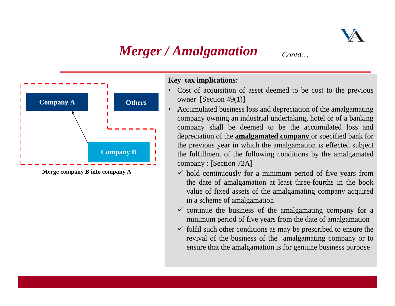

## *Merger / Amalgamation Contd...*



- Cost of acquisition of asset deemed to be cost to the previous owner [Section 49(1)]
- • Accumulated business loss and depreciation of the amalgamating company owning an industrial undertaking, hotel or of a banking company shall be deemed to be the accumulated loss and depreciation of the **amalgamated company** or specified bank for the previous year in which the amalgamation is effected subject the fulfillment of the following conditions by the amalgamated company : [Section 72A]
	- $\checkmark$  hold continuously for a minimum period of five years from the date of amalgamation at least three-fourths in the book value of fixed assets of the amalgamating company acquired in a scheme of amalgamation
	- $\checkmark$  continue the business of the amalgamating company for a minimum period of five years from the date of amalgamation
	- $\checkmark$  fulfil such other conditions as may be prescribed to ensure the revival of the business of the amalgamating company or to ensure that the amalgamation is for genuine business purpose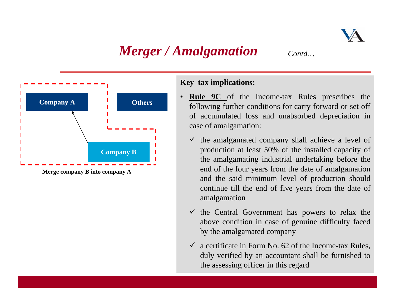## *Merger / Amalgamation Contd...*



- • **Rule 9C** of the Income-tax Rules prescribes the following further conditions for carry forward or set off of accumulated loss and unabsorbed depreciation in case of amalgamation:
	- $\checkmark$  the amalgamated company shall achieve a level of production at least 50% of the installed capacity of the amalgamating industrial undertaking before the end of the four years from the date of amalgamation and the said minimum level of production should continue till the end of five years from the date of amalgamation
	- $\checkmark$  the Central Government has powers to relax the above condition in case of genuine difficulty faced by the amalgamated company
	- $\checkmark$  a certificate in Form No. 62 of the Income-tax Rules, duly verified by an accountant shall be furnished to the assessing officer in this regard

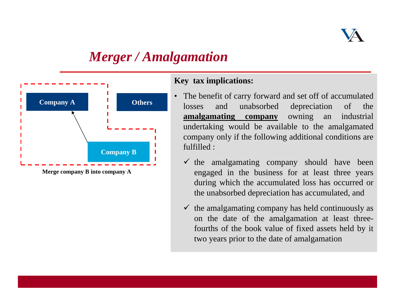

## *Merger / Amalgamation*



- • The benefit of carry forward and set off of accumulated losses and unabsorbed depreciation of the **amalgamating company** owning an industrial undertaking would be available to the amalgamated company only if the following additional conditions are fulfilled :
	- $\checkmark$  the amalgamating company should have been engaged in the business for at least three years during which the accumulated loss has occurred or the unabsorbed depreciation has accumulated, and
	- $\checkmark$  the amalgamating company has held continuously as on the date of the amalgamation at least threefourths of the book value of fixed assets held by it two years prior to the date of amalgamation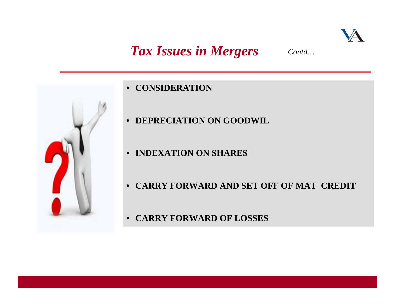

### **Tax Issues in Mergers** *Contd...*



- •**• CONSIDERATION**
- •**DEPRECIATION ON GOODWIL**
- **INDEXATION ON SHARES**
- **CARRY FORWARD AND SET OFF OF MAT CREDIT**
- **CARRY FORWARD OF LOSSES**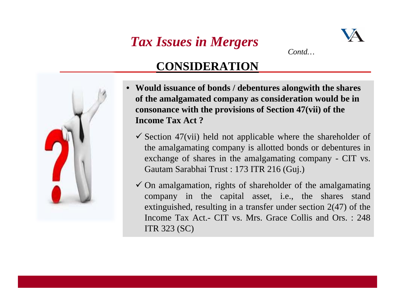# *Tax Issues in Mergers Contd…*



### **CONSIDERATION**

- • **Would issuance of bonds / debentures alongwith the shares of the amalgamated company as consideration would be in consonance with the provisions of Section 47(vii) of the Income Tax Act ?**
	- $\checkmark$  Section 47(vii) held not applicable where the shareholder of the amalgamating company is allotted bonds or debentures in exchange of shares in the amalgamating company - CIT vs. Gautam Sarabhai Trust : 173 ITR 216 (Guj.)
	- $\checkmark$  On amalgamation, rights of shareholder of the amalgamating company in the capital asset, i.e., the shares stand extinguished, resulting in a transfer under section 2(47) of the Income Tax Act.- CIT vs. Mrs. Grace Collis and Ors. : 248 ITR 323 (SC)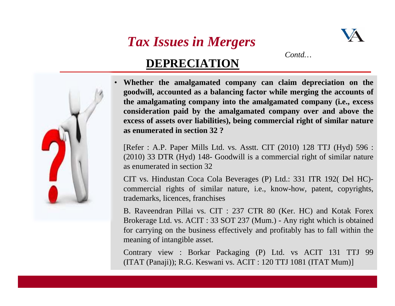## *Tax Issues in Mergers*



*Contd…*

### **DEPRECIATION**

• **Whether the amalgamated company can claim depreciation on the goodwill, accounted as a balancing factor while merging the accounts of the amalgamating company into the amalgamated company (i.e., excess consideration paid by the amalgamated company over and above the excess of assets over liabilities), being commercial right of similar nature as enumerated in section 32 ?** 

[Refer : A.P. Paper Mills Ltd. vs. Asstt. CIT (2010) 128 TTJ (Hyd) 596 : (2010) 33 DTR (Hyd) 148- Goodwill is a commercial right of similar nature as enumerated in section 32

CIT vs. Hindustan Coca Cola Beverages (P) Ltd.: 331 ITR 192( Del HC) commercial rights of similar nature, i.e., know-how, patent, copyrights, trademarks, licences, franchises

Business CB. Raveendran Pillai vs. CIT : 237 CTR 80 (Ker. HC) and Kotak Forex Brokerage Ltd. vs. ACIT : 33 SOT 237 (Mum.) - Any right which is obtained for carrying on the business effectively and profitably has to fall within the meaning of intangible asset.

Contrary view : Borkar Packaging (P) Ltd. vs ACIT 131 TTJ 99 (ITAT (Panaji)); R.G. Keswani vs. ACIT : 120 TTJ 1081 (ITAT Mum)]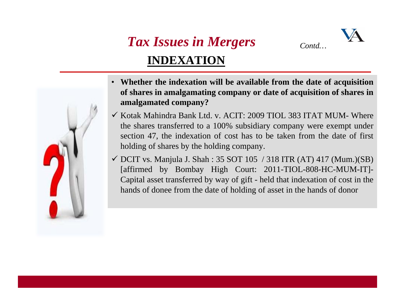

## *Tax Issues in Mergers Contd…* **INDEXATION**

- • **Whether the indexation will be available from the date of acquisition of shares in amalgamating company or date of acquisition of shares in amalgamated company?**
- $\checkmark$  Kotak Mahindra Bank Ltd. v. ACIT: 2009 TIOL 383 ITAT MUM- Where the shares transferred to a 100% subsidiary company were exempt under section 47, the indexation of cost has to be taken from the date of first holding of shares by the holding company.
- $\checkmark$  DCIT vs. Manjula J. Shah : 35 SOT 105 / 318 ITR (AT) 417 (Mum.)(SB) [affirmed by Bombay High Court: 2011-TIOL-808-HC-MUM-IT]- Capital asset transferred by way of gift - held that indexation of cost in the hands of donee from the date of holding of asset in the hands of donor

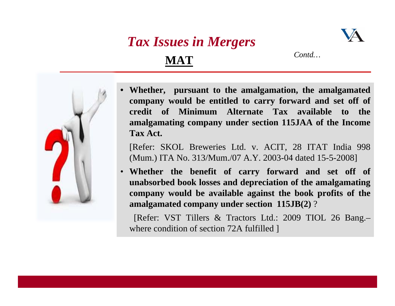## *Tax Issues in Mergers* **MAT**



*Contd…*



•

 **Whether, pursuant to the amalgamation, the amalgamated company would be entitled to carry forward and set off of credit of Minimum Alternate Tax available to the amalgamating company under section 115JAA of the Income Tax Act.**

[Refer: SKOL Breweries Ltd. v. ACIT, 28 ITAT India 998 (Mum.) ITA No. 313/Mum./07 A.Y. 2003-04 dated 15-5-2008]

• **Whether the benefit of carry forward and set off of unabsorbed book losses and depreciation of the amalgamating company would be available against the book profits of the amalgamated company under section 115JB(2)** ?

[Refer: VST Tillers & Tractors Ltd.: 2009 TIOL 26 Bang.– where condition of section 72A fulfilled ]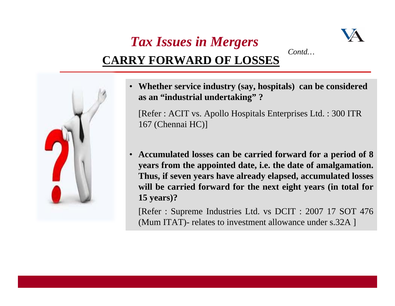## *Tax Issues in Mergers Contd…***CARRY FORWARD OF LOSSES**





• **Whether service industry (say, hospitals) can be considered as an "industrial undertaking" ?**

[Refer : ACIT vs. Apollo Hospitals Enterprises Ltd. : 300 ITR 167 (Chennai HC)]

• **Accumulated losses can be carried forward for a period of 8 years from the appointed date, i.e. the date of amalgamation. Thus, if seven years have already elapsed, accumulated losses will be carried forward for the next eight years (in total for 15 years)?**

[Refer : Supreme Industries Ltd. vs DCIT : 2007 17 SOT 476 (Mum ITAT)- relates to investment allowance under s.32A ]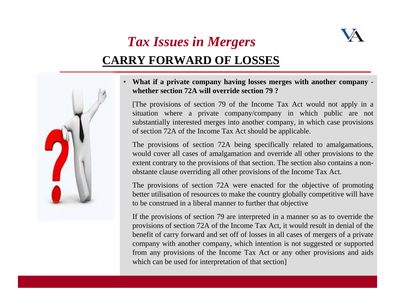

## *Tax Issues in Mergers* **CARRY FORWARD OF LOSSES**



• **What if a private company having losses merges with another company whether section 72A will override section 79 ?**

[The provisions of section 79 of the Income Tax Act would not apply in a situation where a private company/company in which public are not substantially interested merges into another company, in which case provisions of section 72A of the Income Tax Act should be applicable.

The provisions of section 72A being specifically related to amalgamations, would cover all cases of amalgamation and override all other provisions to the extent contrary to the provisions of that section. The section also contains a nonobstante clause overriding all other provisions of the Income Tax Act.

The provisions of section 72A were enacted for the objective of promoting better utilisation of resources to make the country globally competitive will have to be construed in a liberal manner to further that objective

If the provisions of section 79 are interpreted in a manner so as to override the provisions of section 72A of the Income Tax Act, it would result in denial of the benefit of carry forward and set off of losses in all cases of mergers of a private company with another company, which intention is not suggested or supported from any provisions of the Income Tax Act or any other provisions and aids which can be used for interpretation of that section]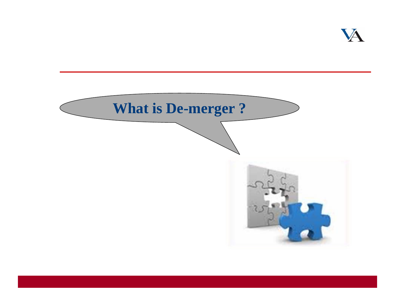

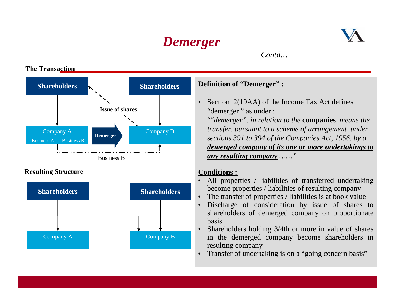

*Contd…*

#### **The Transaction**



#### **Definition of "Demerger" :**

• Section 2(19AA) of the Income Tax Act defines "demerger" as under :

""*demerger", in relation to the* **companies***, means the transfer, pursuant to a scheme of arrangement under sections 391 to 394 of the Companies Act, 1956, by a demerged company of its one or more undertakings to any resulting company ……"*

#### **Conditions :**

- • All properties / liabilities of transferred undertaking become properties / liabilities of resulting company
- •The transfer of properties / liabilities is at book value
- • Discharge of consideration by issue of shares to shareholders of demerged company on proportionate basis
- • Shareholders holding 3/4th or more in value of shares in the demerged company become shareholders in resulting company
- •Transfer of undertaking is on a "going concern basis"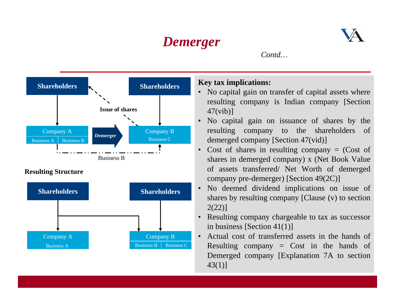

*Contd…*



- No capital gain on transfer of capital assets where resulting company is Indian company [Section
- No capital gain on issuance of shares by the resulting company to the shareholders of demerged company [Section 47(vid)]
- Cost of shares in resulting company = (Cost of shares in demerged company) x (Net Book Value of assets transferred/ Net Worth of demerged company pre-demerger) [Section 49(2C)]
- No deemed dividend implications on issue of shares by resulting company [Clause (v) to section
- Resulting company chargeable to tax as successor in business [Section 41(1)]
- Actual cost of transferred assets in the hands of Resulting company  $=$  Cost in the hands of Demerged company [Explanation 7A to section 43(1)]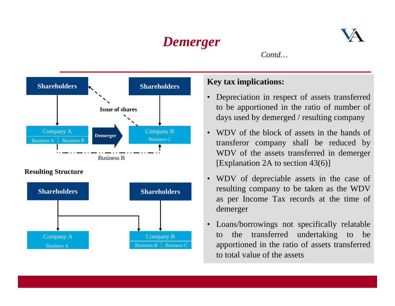

*Contd…*





- • Depreciation in respect of assets transferred to be apportioned in the ratio of number of days used by demerged / resulting company
- • WDV of the block of assets in the hands of transferor company shall be reduced by WDV of the assets transferred in demerger [Explanation 2A to section 43(6)]
- $\bullet$  WDV of depreciable assets in the case of resulting company to be taken as the WDV as per Income Tax records at the time of demerger
- • Loans/borrowings not specifically relatable to the transferred undertaking to be apportioned in the ratio of assets transferred to total value of the assets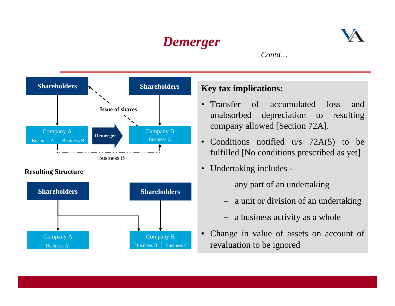

*Contd…*



#### **Resulting Structure**



- • Transfer of accumulated loss and unabsorbed depreciation to resulting company allowed [Section 72A].
- Conditions notified u/s 72A(5) to be fulfilled [No conditions prescribed as yet]
- $\bullet$  Undertaking includes -
	- − any part of an undertaking
	- − a unit or division of an undertaking
	- − a business activity as a whole
- • Change in value of assets on account of revaluation to be ignored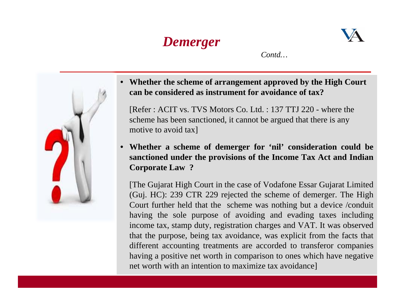

*Contd…*



• **Whether the scheme of arrangement approved by the High Court can be considered as instrument for avoidance of tax?**

[Refer : ACIT vs. TVS Motors Co. Ltd. : 137 TTJ 220 - where the scheme has been sanctioned, it cannot be argued that there is any motive to avoid tax]

• **Whether a scheme of demerger for 'nil' consideration could be sanctioned under the provisions of the Income Tax Act and Indian Corporate Law ?** 

different accounting treatments are accorded to transferor companies [The Gujarat High Court in the case of Vodafone Essar Gujarat Limited (Guj. HC): 239 CTR 229 rejected the scheme of demerger. The High Court further held that the scheme was nothing but a device /conduit having the sole purpose of avoiding and evading taxes including income tax, stamp duty, registration charges and VAT. It was observed that the purpose, being tax avoidance, was explicit from the facts that having a positive net worth in comparison to ones which have negative net worth with an intention to maximize tax avoidance]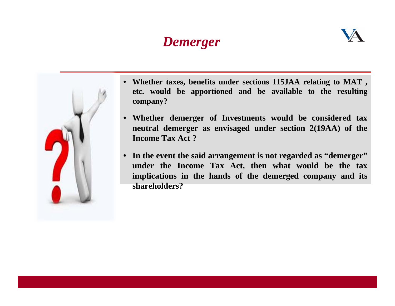



- **Whether taxes, benefits under sections 115JAA relating to MAT , etc. would be apportioned and be available to the resulting company?**
- **Whether demerger of Investments would be considered tax neutral demerger as envisaged under section 2(19AA) of the Income Tax Act ?**
- **In the event the said arrangement is not regarded as "demerger" under the Income Tax Act, then what would be the tax implications in the hands of the demerged company and its shareholders?**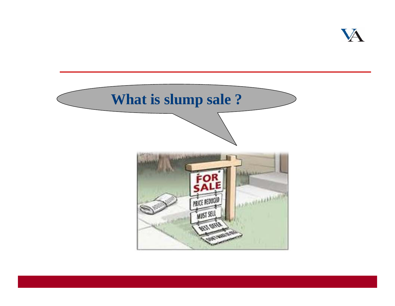

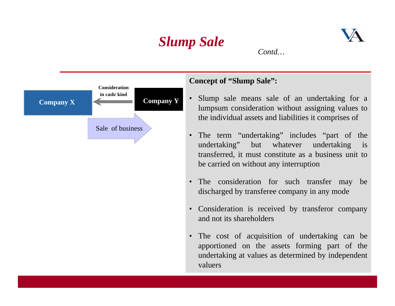





### **Concept of "Slump Sale":**

- • Slump sale means sale of an undertaking for a lumpsum consideration without assigning values to the individual assets and liabilities it comprises of
- The term "undertaking" includes "part of the undertaking" but whatever undertaking is transferred, it must constitute as a business unit to be carried on without any interruption
- The consideration for such transfer may be discharged by transferee company in any mode
- Consideration is received by transferor company and not its shareholders
- The cost of acquisition of undertaking can be apportioned on the assets forming part of the undertaking at values as determined by independent valuers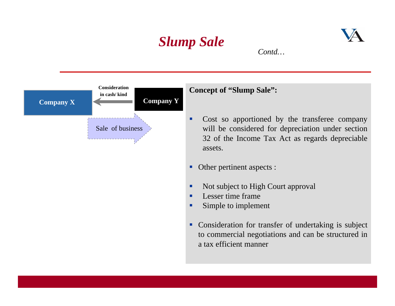



#### **Concept of "Slump Sale":**

- Cost so apportioned by the transferee company will be considered for depreciation under section 32 of the Income Tax Act as regards depreciable assets.
- Г Other pertinent aspects :
- п Not subject to High Court approval
- Г Lesser time frame
- L. Simple to implement
- Consideration for transfer of undertaking is subject to commercial negotiations and can be structured in a tax efficient manner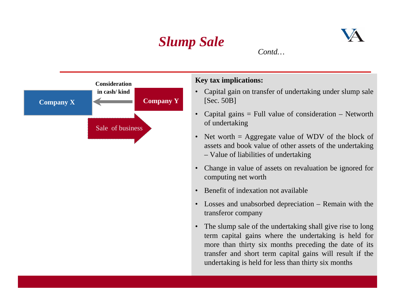



- • Capital gain on transfer of undertaking under slump sale [Sec. 50B]
- • Capital gains = Full value of consideration – Networth of undertaking
- Net worth = Aggregate value of WDV of the block of assets and book value of other assets of the undertaking – Value of liabilities of undertaking
- • Change in value of assets on revaluation be ignored for computing net worth
- •Benefit of indexation not available
- Losses and unabsorbed depreciation Remain with the transferor company
- • The slump sale of the undertaking shall give rise to long term capital gains where the undertaking is held for more than thirty six months preceding the date of its transfer and short term capital gains will result if the undertaking is held for less than thirty six months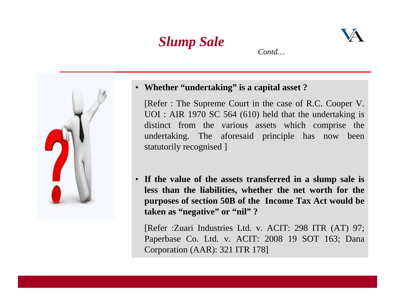



• **Whether "undertaking" is a capital asset ?**

[Refer : The Supreme Court in the case of R.C. Cooper V. UOI : AIR 1970 SC 564 (610) held that the undertaking is distinct from the various assets which comprise the undertaking. The aforesaid principle has now been statutorily recognised ]

• **If the value of the assets transferred in a slump sale is less than the liabilities, whether the net worth for the purposes of section 50B of the Income Tax Act would be taken as "negative" or "nil" ?**

[Refer :Zuari Industries Ltd. v. ACIT: 298 ITR (AT) 97; Paperbase Co. Ltd. v. ACIT: 2008 19 SOT 163; Dana Corporation (AAR): 321 ITR 178]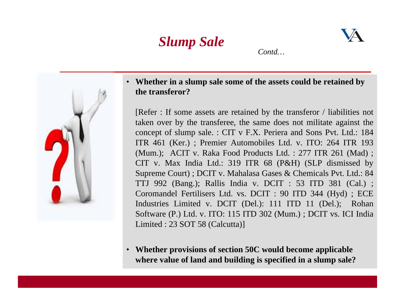



• **Whether in a slump sale some of the assets could be retained by the transferor?**

[Refer : If some assets are retained by the transferor / liabilities not taken over by the transferee, the same does not militate against the concept of slump sale. : CIT v F.X. Periera and Sons Pvt. Ltd.: 184 ITR 461 (Ker.) ; Premier Automobiles Ltd. v. ITO: 264 ITR 193 (Mum.); ACIT v. Raka Food Products Ltd. : 277 ITR 261 (Mad) ; CIT v. Max India Ltd.: 319 ITR 68 (P&H) (SLP dismissed by Supreme Court) ; DCIT v. Mahalasa Gases & Chemicals Pvt. Ltd.: 84 TTJ 992 (Bang.); Rallis India v. DCIT : 53 ITD 381 (Cal.) ; Coromandel Fertilisers Ltd. vs. DCIT : 90 ITD 344 (Hyd) ; ECE Industries Limited v. DCIT (Del.): 111 ITD 11 (Del.); Rohan Software (P.) Ltd. v. ITO: 115 ITD 302 (Mum.) ; DCIT vs. ICI India Limited : 23 SOT 58 (Calcutta)]

**Whether provisions of section 50C would become applicable**  $\bullet$ **where value of land and building is specified in a slump sale?**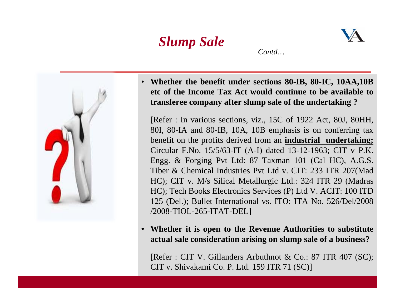





[Refer : In various sections, viz., 15C of 1922 Act, 80J, 80HH, 80I, 80-IA and 80-IB, 10A, 10B emphasis is on conferring tax benefit on the profits derived from an **industrial undertaking;**  Circular F.No. 15/5/63-IT (A-I) dated 13-12-1963; CIT v P.K. Engg. & Forging Pvt Ltd: 87 Taxman 101 (Cal HC), A.G.S. Tiber & Chemical Industries Pvt Ltd v. CIT: 233 ITR 207(Mad HC); CIT v. M/s Silical Metallurgic Ltd.: 324 ITR 29 (Madras HC); Tech Books Electronics Services (P) Ltd V. ACIT: 100 ITD 125 (Del.); Bullet International vs. ITO: ITA No. 526/Del/2008 /2008-TIOL-265-ITAT-DEL]

• **Whether it is open to the Revenue Authorities to substitute actual sale consideration arising on slump sale of a business?**

[Refer : CIT V. Gillanders Arbuthnot & Co.: 87 ITR 407 (SC); CIT v. Shivakami Co. P. Ltd. 159 ITR 71 (SC)]

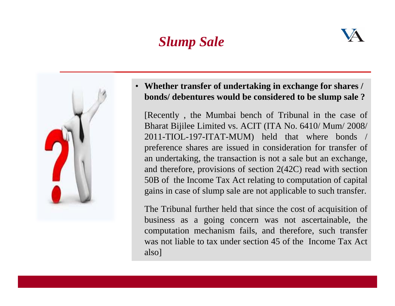## *Slump Sale*





 $\bullet$  **Whether transfer of undertaking in exchange for shares / bonds/ debentures would be considered to be slump sale ?** 

[Recently , the Mumbai bench of Tribunal in the case of Bharat Bijilee Limited vs. ACIT (ITA No. 6410/ Mum/ 2008/ 2011-TIOL-197-ITAT-MUM) held that where bonds / preference shares are issued in consideration for transfer of an undertaking, the transaction is not a sale but an exchange, and therefore, provisions of section 2(42C) read with section 50B of the Income Tax Act relating to computation of capital gains in case of slump sale are not applicable to such transfer.

The Tribunal further held that since the cost of acquisition of business as a going concern was not ascertainable, the computation mechanism fails, and therefore, such transfer was not liable to tax under section 45 of the Income Tax Act also]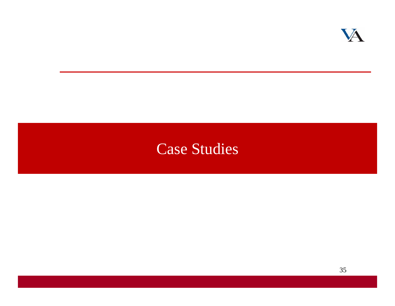

## Case Studies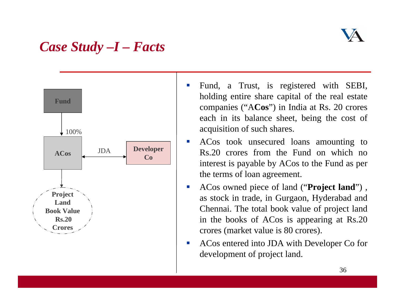### *Case Study –I – Facts*



- $\mathbb{R}^n$  Fund, a Trust, is registered with SEBI, holding entire share capital of the real estate companies ("A**Cos**") in India at Rs. 20 crores each in its balance sheet, being the cost of acquisition of such shares.
- $\mathcal{C}^{\mathcal{A}}$  ACos took unsecured loans amounting to Rs.20 crores from the Fund on which no interest is payable by ACos to the Fund as per the terms of loan agreement.
- $\mathcal{L}_{\mathcal{A}}$  ACos owned piece of land ("**Project land**") , as stock in trade, in Gurgaon, Hyderabad and Chennai. The total book value of project land in the books of ACos is appearing at Rs.20 crores (market value is 80 crores).
- $\mathcal{L}_{\mathcal{A}}$  ACos entered into JDA with Developer Co for development of project land.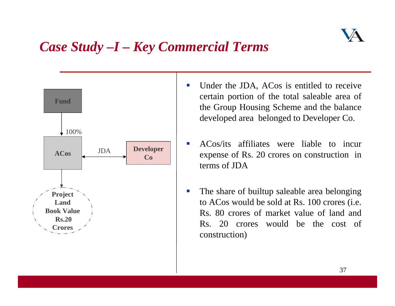

## *Case Study –I – Key Commercial Terms*



- $\mathcal{L}_{\mathcal{A}}$  Under the JDA, ACos is entitled to receive certain portion of the total saleable area of the Group Housing Scheme and the balance developed area belonged to Developer Co.
- $\mathcal{L}_{\mathcal{A}}$  ACos/its affiliates were liable to incur expense of Rs. 20 crores on construction in terms of JDA
- $\mathcal{L}_{\mathcal{A}}$  The share of builtup saleable area belonging to ACos would be sold at Rs. 100 crores (i.e. Rs. 80 crores of market value of land and Rs. 20 crores would be the cost of construction)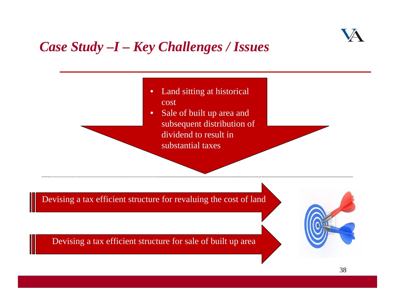

## *Case Study –I – Key Challenges / Issues*

• Land sitting at historical cost

• Sale of built up area and subsequent distribution of dividend to result in substantial taxes

Devising a tax efficient structure for revaluing the cost of land

Devising a tax efficient structure for sale of built up area

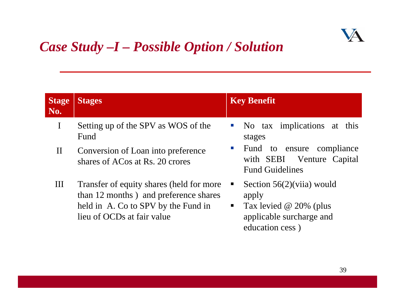

## *Case Study –I – Possible Option / Solution*

| <b>Stage</b><br>No. | <b>Stages</b>                                                                                                                                          | <b>Key Benefit</b>                                                                                                                           |
|---------------------|--------------------------------------------------------------------------------------------------------------------------------------------------------|----------------------------------------------------------------------------------------------------------------------------------------------|
| $\mathbf I$         | Setting up of the SPV as WOS of the<br>Fund                                                                                                            | No tax implications at<br>this<br>$\mathcal{L}_{\mathcal{A}}$<br>stages                                                                      |
| $\mathbf{I}$        | Conversion of Loan into preference<br>shares of ACos at Rs. 20 crores                                                                                  | Fund<br>to ensure compliance<br>$\mathcal{C}^{\mathcal{A}}$<br>with SEBI Venture Capital<br><b>Fund Guidelines</b>                           |
| Ш                   | Transfer of equity shares (held for more<br>than 12 months) and preference shares<br>held in A. Co to SPV by the Fund in<br>lieu of OCDs at fair value | Section $56(2)$ (viia) would<br>ш<br>apply<br>Tax levied $\omega$ 20% (plus<br>$\blacksquare$<br>applicable surcharge and<br>education cess) |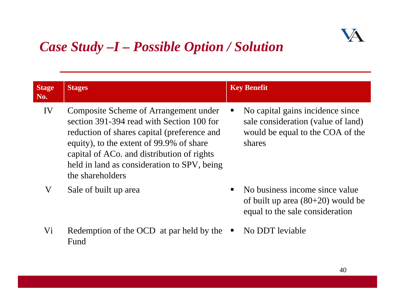

## *Case Study –I – Possible Option / Solution*

| <b>Stage</b><br>No. | <b>Stages</b>                                                                                                                                                                                                                                                                                  | <b>Key Benefit</b>                                                                                                   |
|---------------------|------------------------------------------------------------------------------------------------------------------------------------------------------------------------------------------------------------------------------------------------------------------------------------------------|----------------------------------------------------------------------------------------------------------------------|
| IV                  | Composite Scheme of Arrangement under<br>section 391-394 read with Section 100 for<br>reduction of shares capital (preference and<br>equity), to the extent of 99.9% of share<br>capital of ACo. and distribution of rights<br>held in land as consideration to SPV, being<br>the shareholders | No capital gains incidence since<br>sale consideration (value of land)<br>would be equal to the COA of the<br>shares |
| V                   | Sale of built up area                                                                                                                                                                                                                                                                          | No business income since value<br>of built up area $(80+20)$ would be<br>equal to the sale consideration             |

- Vi Redemption of the OCD at par held by the Fund
- No DDT leviable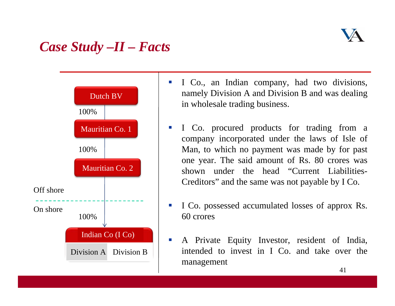### *Case Study –II – Facts*



- $\mathcal{C}$  I Co., an Indian company, had two divisions, namely Division A and Division B and was dealing in wholesale trading business.
- $\sim$  I Co. procured products for trading from a company incorporated under the laws of Isle of Man, to which no payment was made by for past one year. The said amount of Rs. 80 crores was shown under the head "Current Liabilities-Creditors" and the same was not payable by I Co.
- П I Co. possessed accumulated losses of approx Rs. 60 crores
- $\mathcal{L}_{\mathcal{A}}$  A Private Equity Investor, resident of India, intended to invest in I Co. and take over the management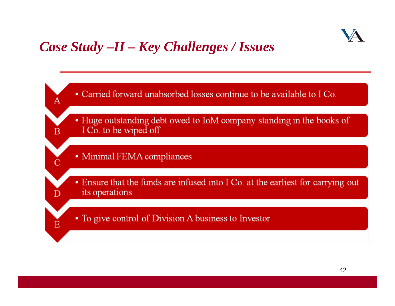

### *Case Study –II – Key Challenges / Issues*

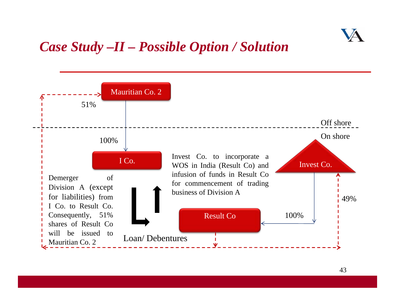

### *Case Study –II – Possible Option / Solution*

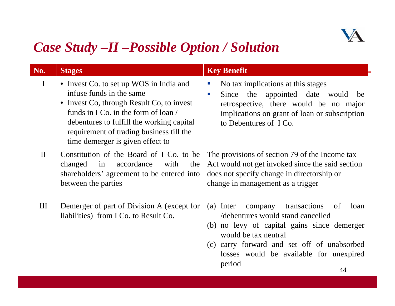

### *Case Study –II –Possible Option / Solution*

| No.          | <b>Stages</b>                                                                                                                                                                                                                                                                         | <b>Key Benefit</b>                                                                                                                                                                                                                           |
|--------------|---------------------------------------------------------------------------------------------------------------------------------------------------------------------------------------------------------------------------------------------------------------------------------------|----------------------------------------------------------------------------------------------------------------------------------------------------------------------------------------------------------------------------------------------|
| $\mathbf I$  | • Invest Co. to set up WOS in India and<br>infuse funds in the same<br>• Invest Co, through Result Co, to invest<br>funds in I Co. in the form of loan /<br>debentures to fulfill the working capital<br>requirement of trading business till the<br>time demerger is given effect to | No tax implications at this stages<br>$\mathcal{C}$<br>Since the appointed date would be<br>$\mathcal{L}_{\mathcal{A}}$<br>retrospective, there would be no major<br>implications on grant of loan or subscription<br>to Debentures of I Co. |
| $\mathbf{I}$ | Constitution of the Board of I Co. to be<br>accordance<br>with<br>the<br>changed<br>in<br>shareholders' agreement to be entered into<br>between the parties                                                                                                                           | The provisions of section 79 of the Income tax<br>Act would not get invoked since the said section<br>does not specify change in directorship or<br>change in management as a trigger                                                        |
| III          | Demerger of part of Division A (except for<br>liabilities) from I Co. to Result Co.                                                                                                                                                                                                   | transactions<br>$(a)$ Inter<br>of<br>loan<br>company<br>/debentures would stand cancelled<br>$(h)$ no low of conital going ginea domessary                                                                                                   |

- (b) no levy of capital gains since demerger would be tax neutral
- (c) carry forward and set off of unabsorbed losses would be available for unexpired period